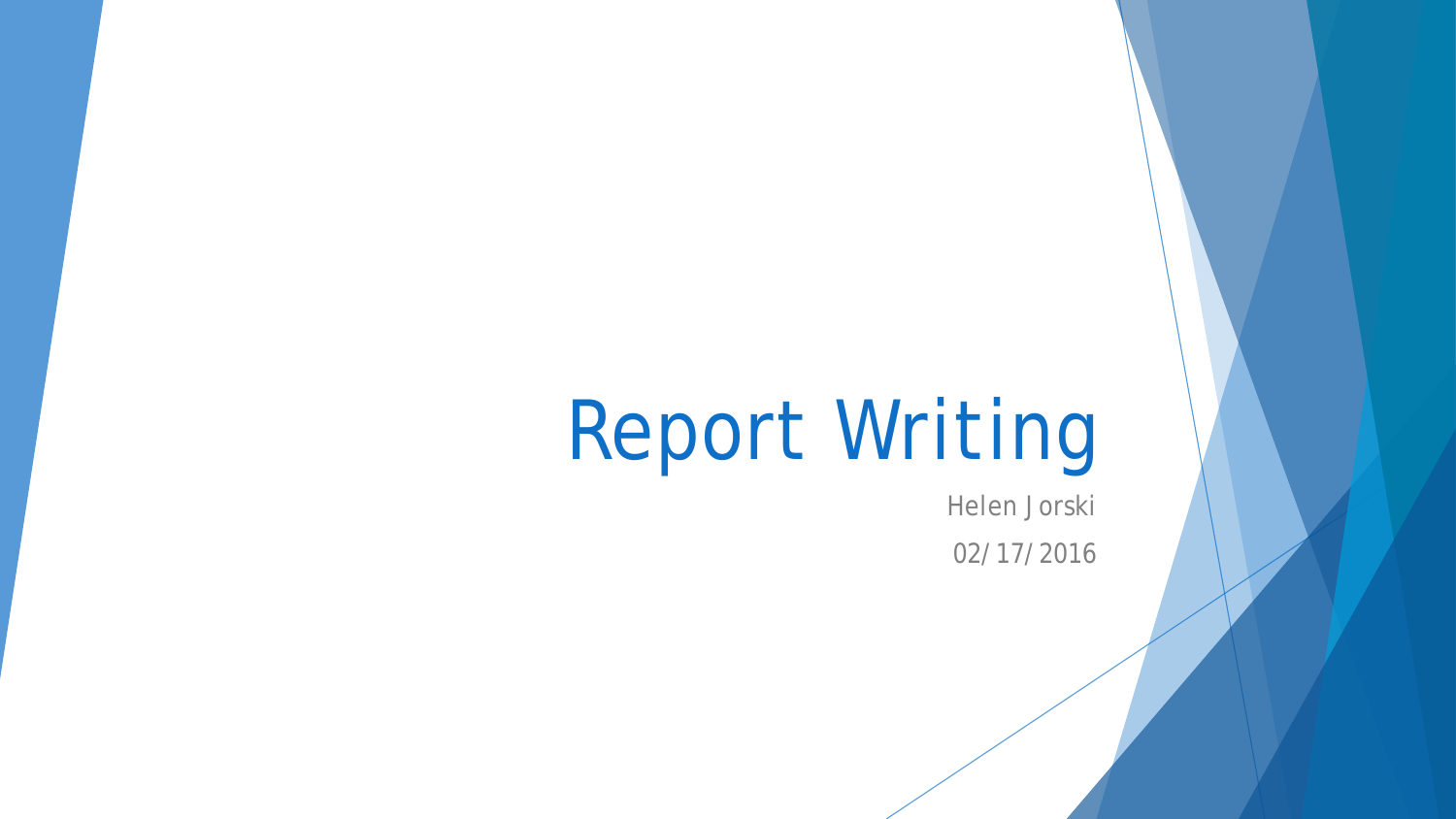# Report Writing

Helen Jorski 02/17/2016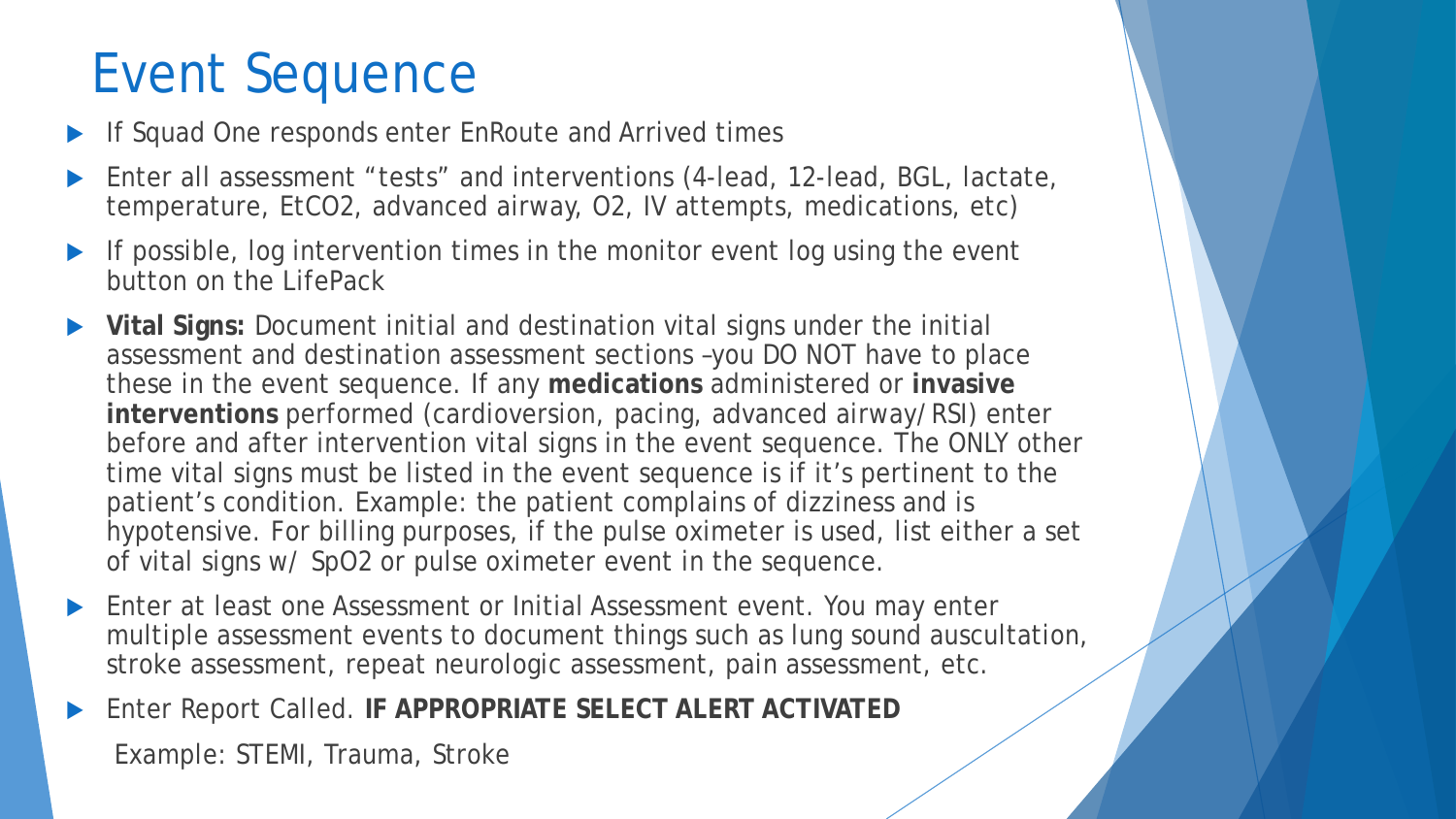# Event Sequence

- If Squad One responds enter EnRoute and Arrived times
- Enter all assessment "tests" and interventions (4-lead, 12-lead, BGL, lactate, temperature, EtCO2, advanced airway, O2, IV attempts, medications, etc)
- If possible, log intervention times in the monitor event log using the event button on the LifePack
- **Vital Signs:** Document initial and destination vital signs under the initial assessment and destination assessment sections –you DO NOT have to place these in the event sequence. If any **medications** administered or **invasive interventions** performed (cardioversion, pacing, advanced airway/RSI) enter before and after intervention vital signs in the event sequence. The ONLY other time vital signs must be listed in the event sequence is if it's pertinent to the patient's condition. Example: the patient complains of dizziness and is hypotensive. For billing purposes, if the pulse oximeter is used, list either a set of vital signs w/ SpO2 or pulse oximeter event in the sequence.
- Enter at least one Assessment or Initial Assessment event. You may enter multiple assessment events to document things such as lung sound auscultation, stroke assessment, repeat neurologic assessment, pain assessment, etc.
- Enter Report Called. **IF APPROPRIATE SELECT ALERT ACTIVATED**

Example: STEMI, Trauma, Stroke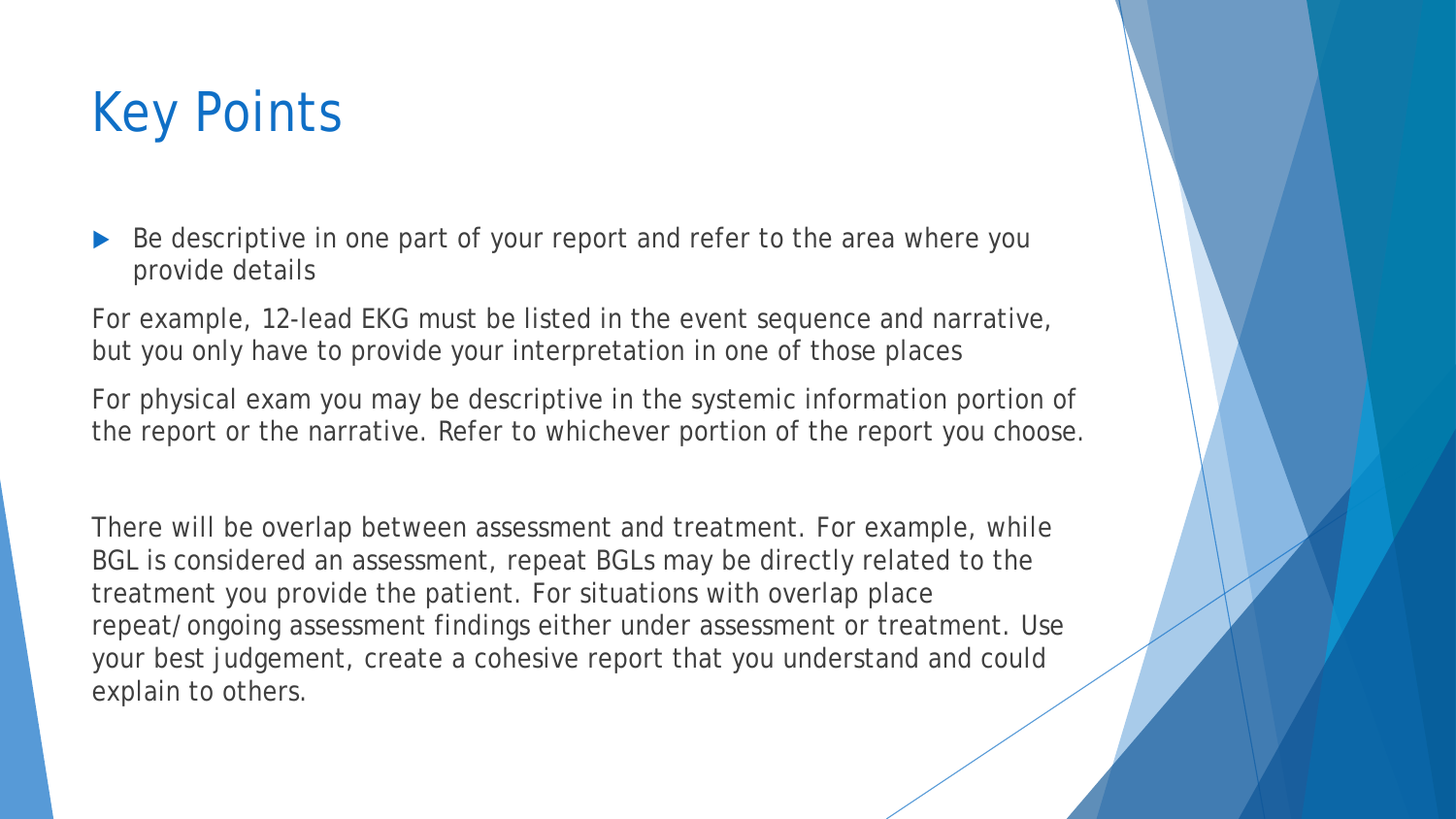# Key Points

 Be descriptive in one part of your report and refer to the area where you provide details

For example, 12-lead EKG must be listed in the event sequence and narrative, but you only have to provide your interpretation in one of those places

For physical exam you may be descriptive in the systemic information portion of the report or the narrative. Refer to whichever portion of the report you choose.

There will be overlap between assessment and treatment. For example, while BGL is considered an assessment, repeat BGLs may be directly related to the treatment you provide the patient. For situations with overlap place repeat/ongoing assessment findings either under assessment or treatment. Use your best judgement, create a cohesive report that you understand and could explain to others.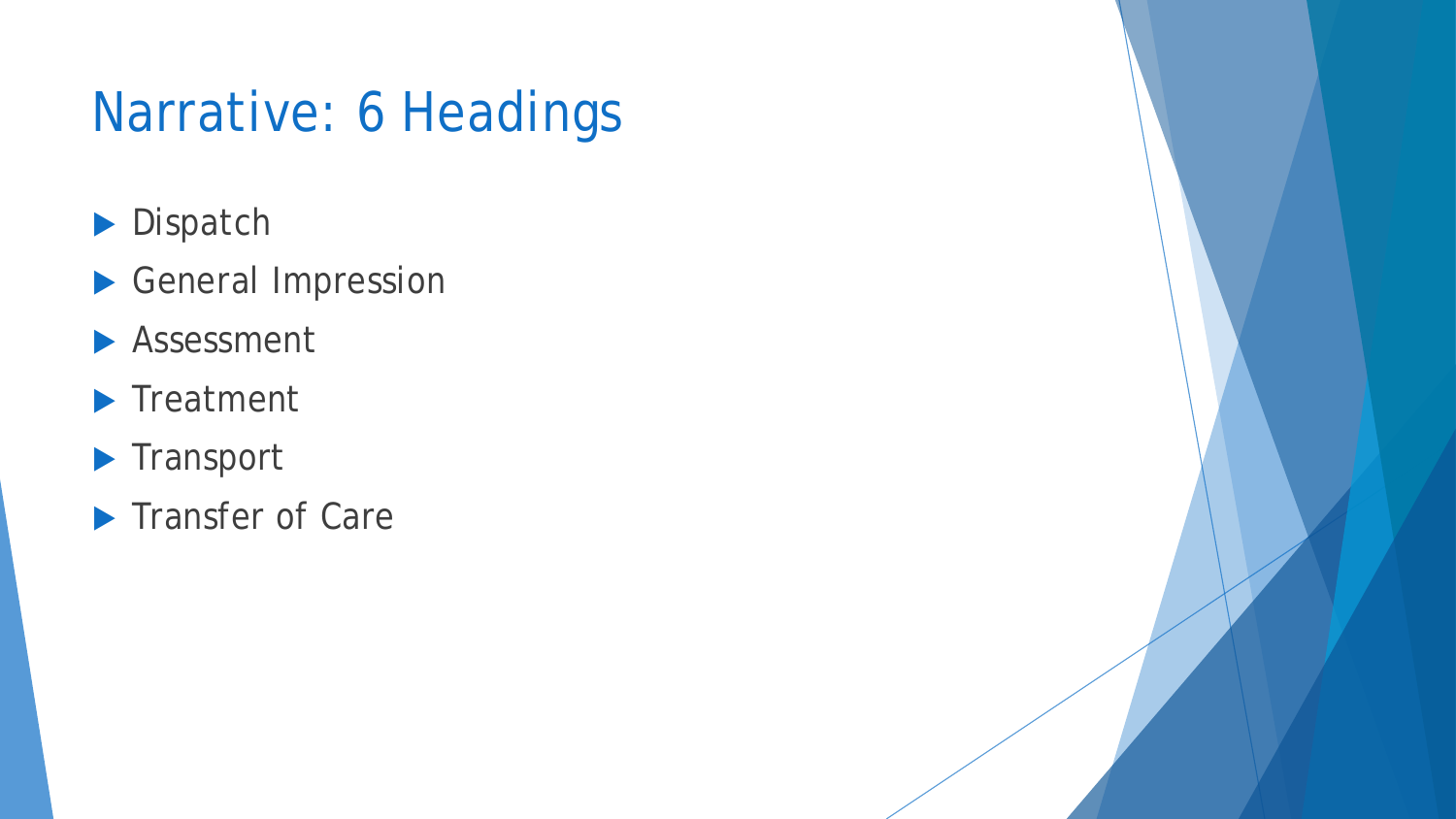# Narrative: 6 Headings

- Dispatch
- General Impression
- **Assessment**
- **F**reatment
- **Transport**
- **Transfer of Care**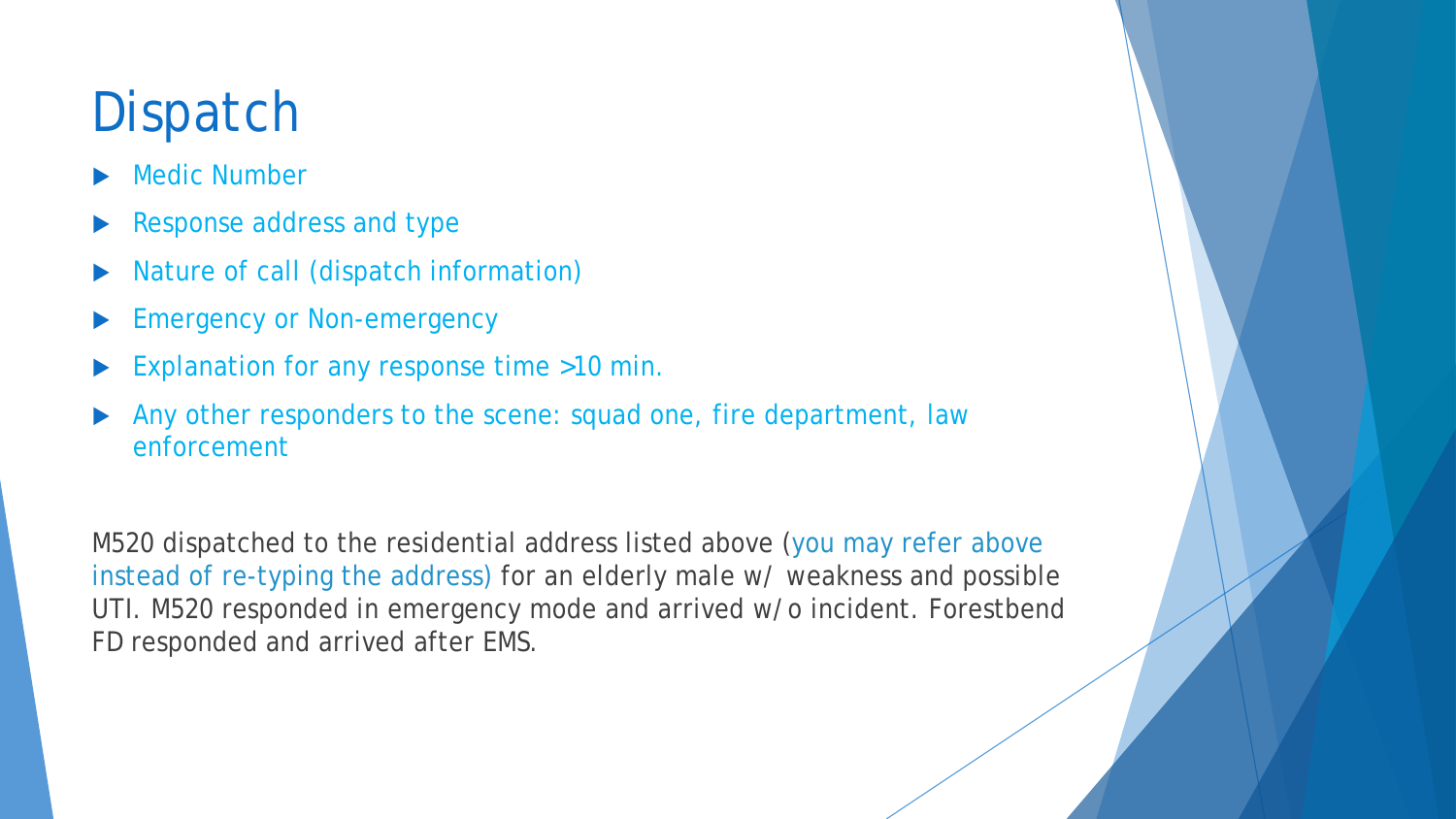# **Dispatch**

- Medic Number
- Response address and type
- Nature of call (dispatch information)
- Emergency or Non-emergency
- Explanation for any response time >10 min.
- Any other responders to the scene: squad one, fire department, law enforcement

M520 dispatched to the residential address listed above (you may refer above instead of re-typing the address) for an elderly male w/ weakness and possible UTI. M520 responded in emergency mode and arrived w/o incident. Forestbend FD responded and arrived after EMS.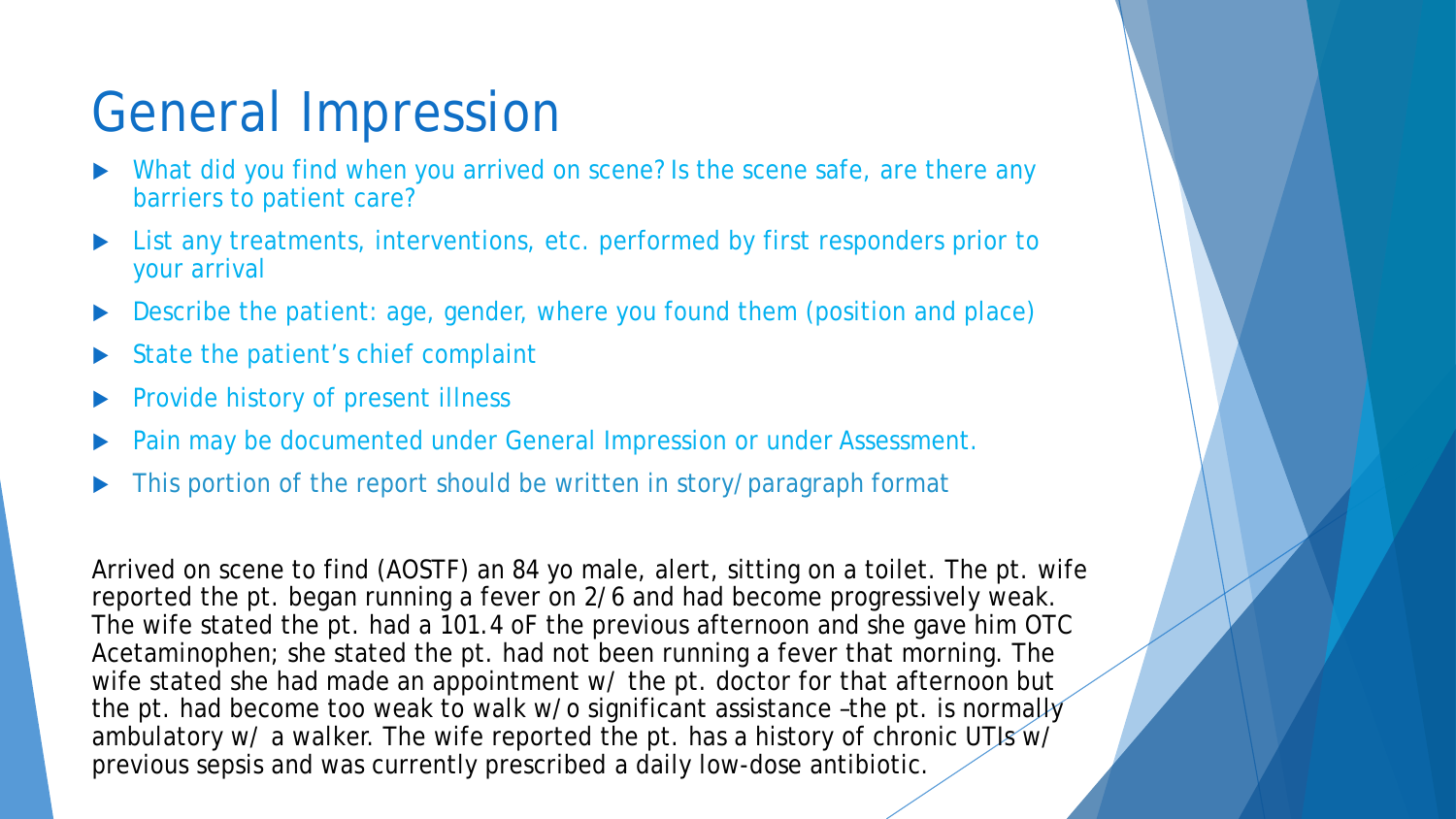## General Impression

- What did you find when you arrived on scene? Is the scene safe, are there any barriers to patient care?
- List any treatments, interventions, etc. performed by first responders prior to your arrival
- Describe the patient: age, gender, where you found them (position and place)
- State the patient's chief complaint
- Provide history of present illness
- Pain may be documented under General Impression or under Assessment.
- This portion of the report should be written in story/paragraph format

Arrived on scene to find (AOSTF) an 84 yo male, alert, sitting on a toilet. The pt. wife reported the pt. began running a fever on 2/6 and had become progressively weak. The wife stated the pt. had a 101.4 oF the previous afternoon and she gave him OTC Acetaminophen; she stated the pt. had not been running a fever that morning. The wife stated she had made an appointment w/ the pt. doctor for that afternoon but the pt. had become too weak to walk w/o significant assistance -the pt. is normally ambulatory w/ a walker. The wife reported the pt. has a history of chronic UTIs  $w\bar{V}$ previous sepsis and was currently prescribed a daily low-dose antibiotic.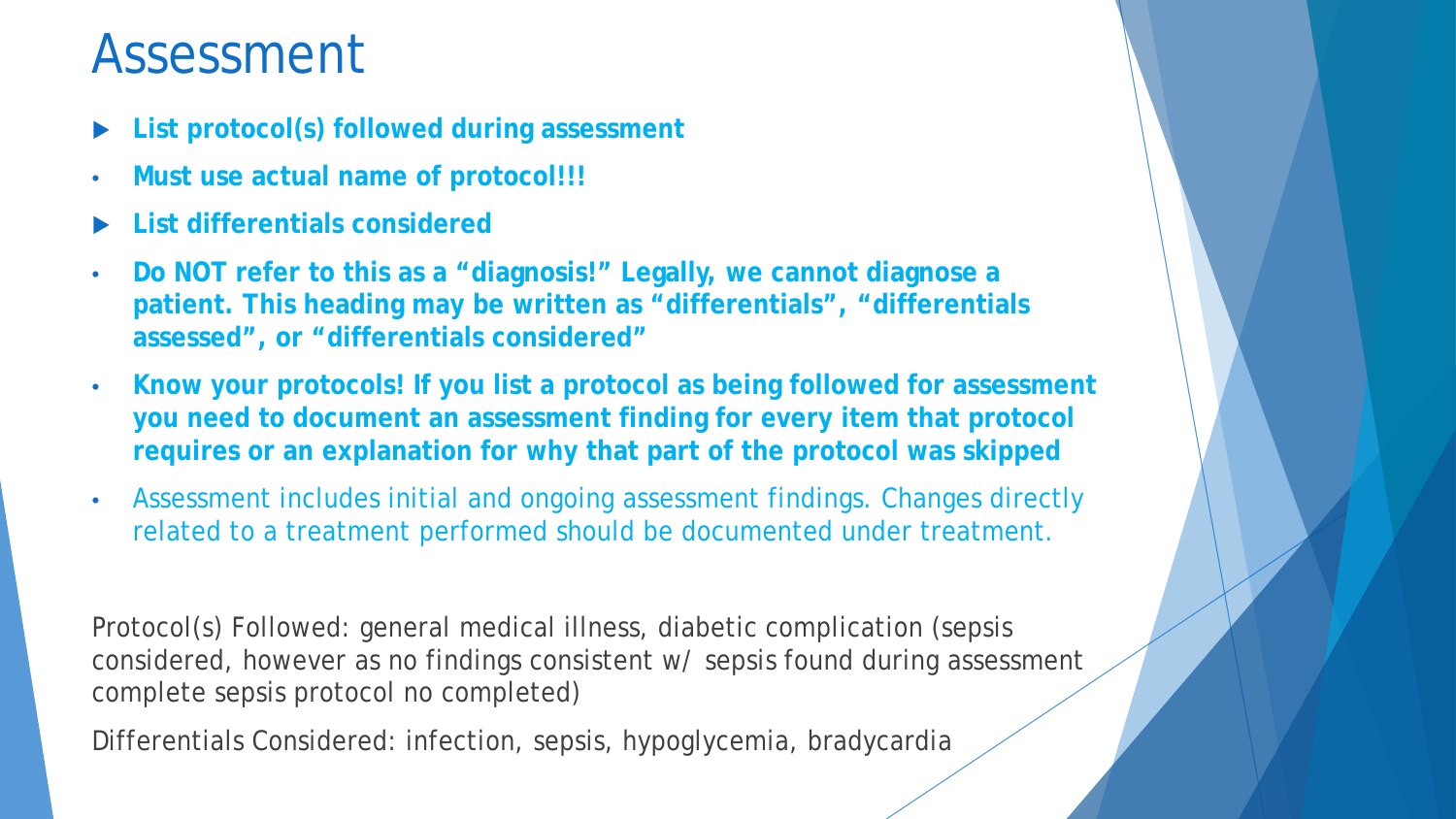#### Assessment

- **List protocol(s) followed during assessment**
- **Must use actual name of protocol!!!**
- **List differentials considered**
- **Do NOT refer to this as a "diagnosis!" Legally, we cannot diagnose a patient. This heading may be written as "differentials", "differentials assessed", or "differentials considered"**
- **Know your protocols! If you list a protocol as being followed for assessment you need to document an assessment finding for every item that protocol requires or an explanation for why that part of the protocol was skipped**
- Assessment includes initial and ongoing assessment findings. Changes directly related to a treatment performed should be documented under treatment.

Protocol(s) Followed: general medical illness, diabetic complication (sepsis considered, however as no findings consistent w/ sepsis found during assessment complete sepsis protocol no completed)

Differentials Considered: infection, sepsis, hypoglycemia, bradycardia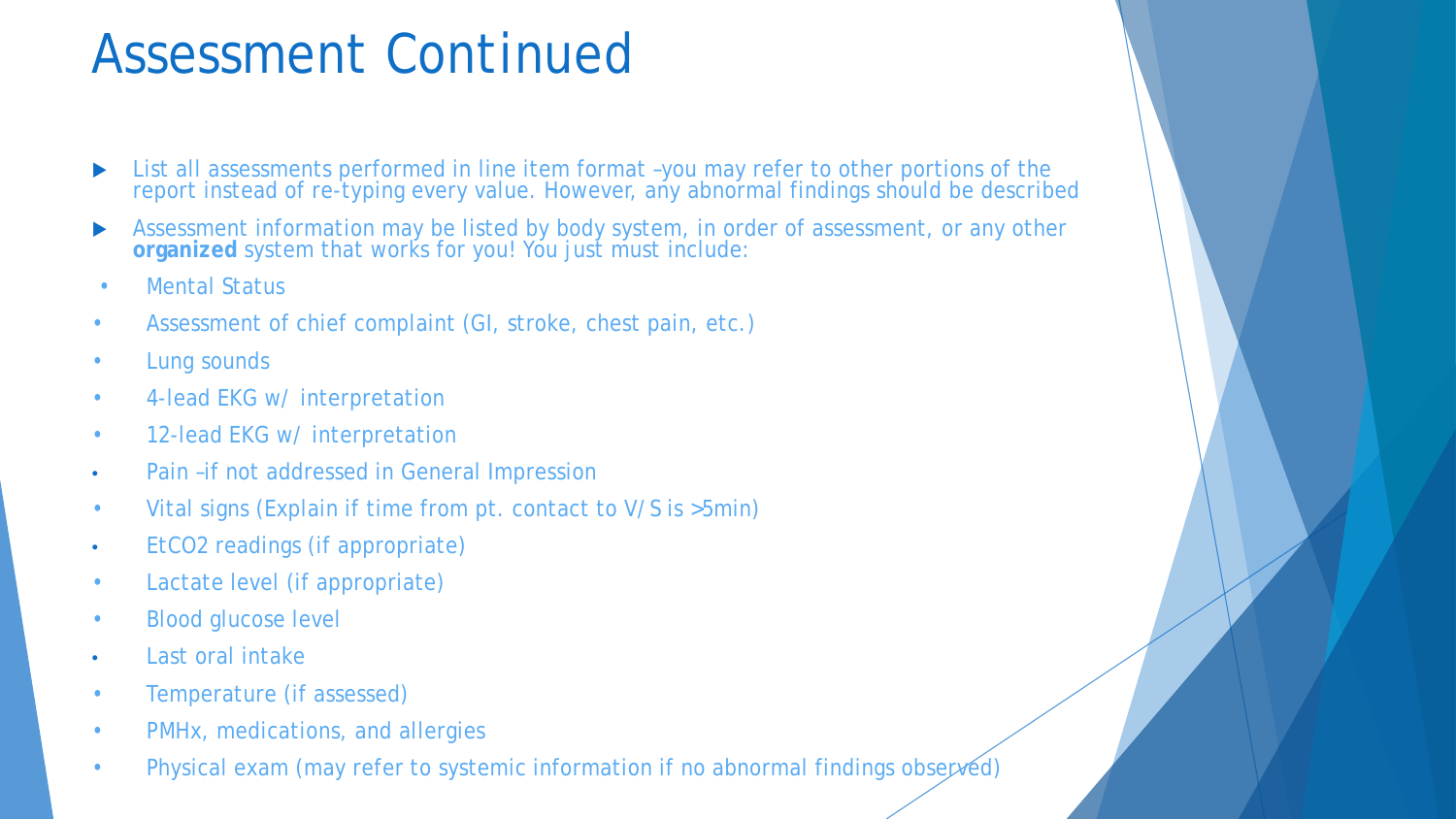## Assessment Continued

- ▶ List all assessments performed in line item format -you may refer to other portions of the report instead of re-typing every value. However, any abnormal findings should be described
- Assessment information may be listed by body system, in order of assessment, or any other **organized** system that works for you! You just must include:
- Mental Status
- Assessment of chief complaint (GI, stroke, chest pain, etc.)
- Lung sounds
- 4-lead EKG w/ interpretation
- 12-lead EKG w/ interpretation
- Pain –if not addressed in General Impression
- Vital signs (Explain if time from pt. contact to V/S is >5min)
- EtCO2 readings (if appropriate)
- Lactate level (if appropriate)
- Blood glucose level
- Last oral intake
- Temperature (if assessed)
- PMHx, medications, and allergies
- Physical exam (may refer to systemic information if no abnormal findings observed)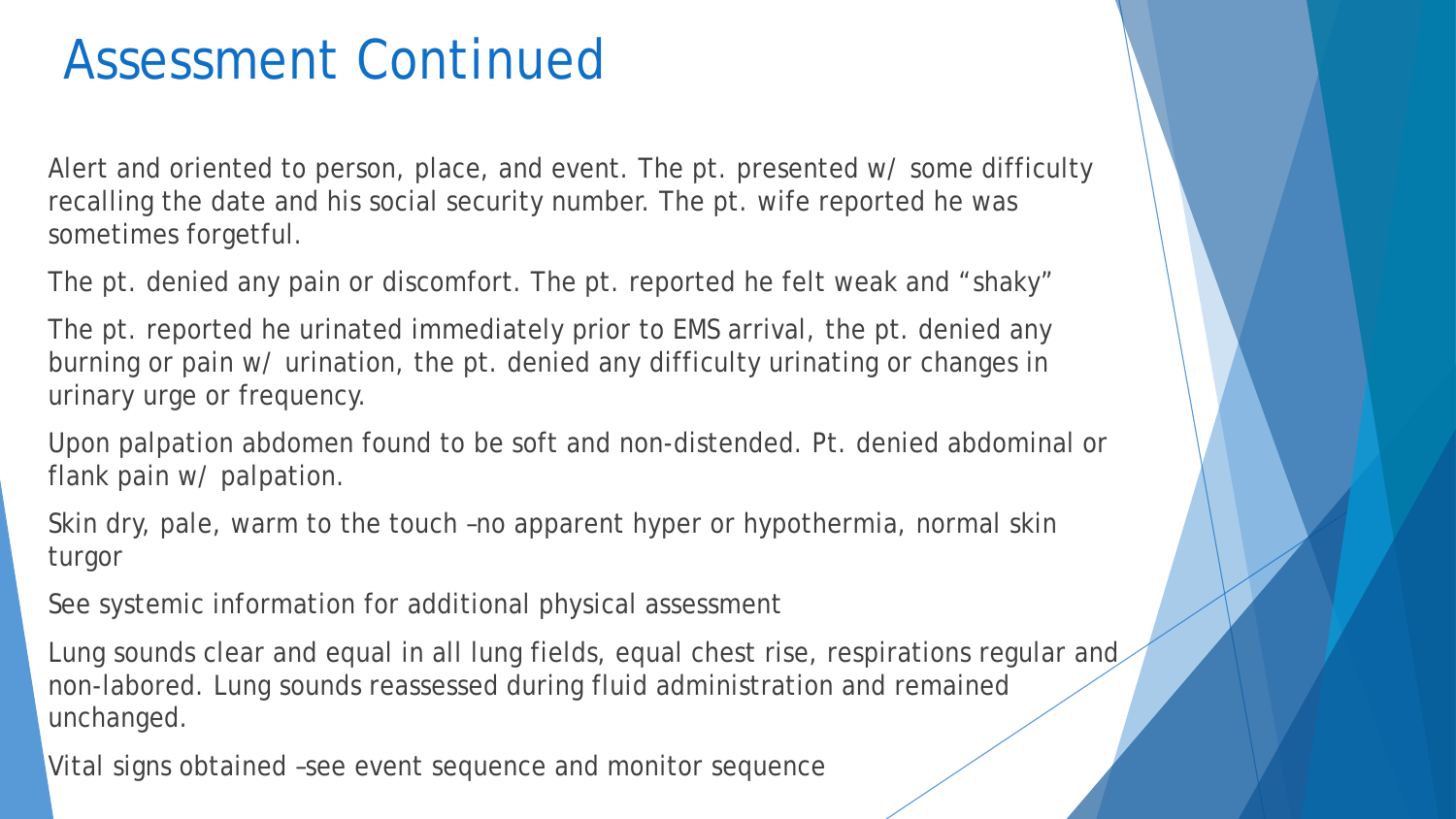#### Assessment Continued

Alert and oriented to person, place, and event. The pt. presented w/ some difficulty recalling the date and his social security number. The pt. wife reported he was sometimes forgetful.

The pt. denied any pain or discomfort. The pt. reported he felt weak and "shaky"

The pt. reported he urinated immediately prior to EMS arrival, the pt. denied any burning or pain w/ urination, the pt. denied any difficulty urinating or changes in urinary urge or frequency.

Upon palpation abdomen found to be soft and non-distended. Pt. denied abdominal or flank pain w/ palpation.

Skin dry, pale, warm to the touch –no apparent hyper or hypothermia, normal skin turgor

See systemic information for additional physical assessment

Lung sounds clear and equal in all lung fields, equal chest rise, respirations regular and non-labored. Lung sounds reassessed during fluid administration and remained unchanged.

Vital signs obtained –see event sequence and monitor sequence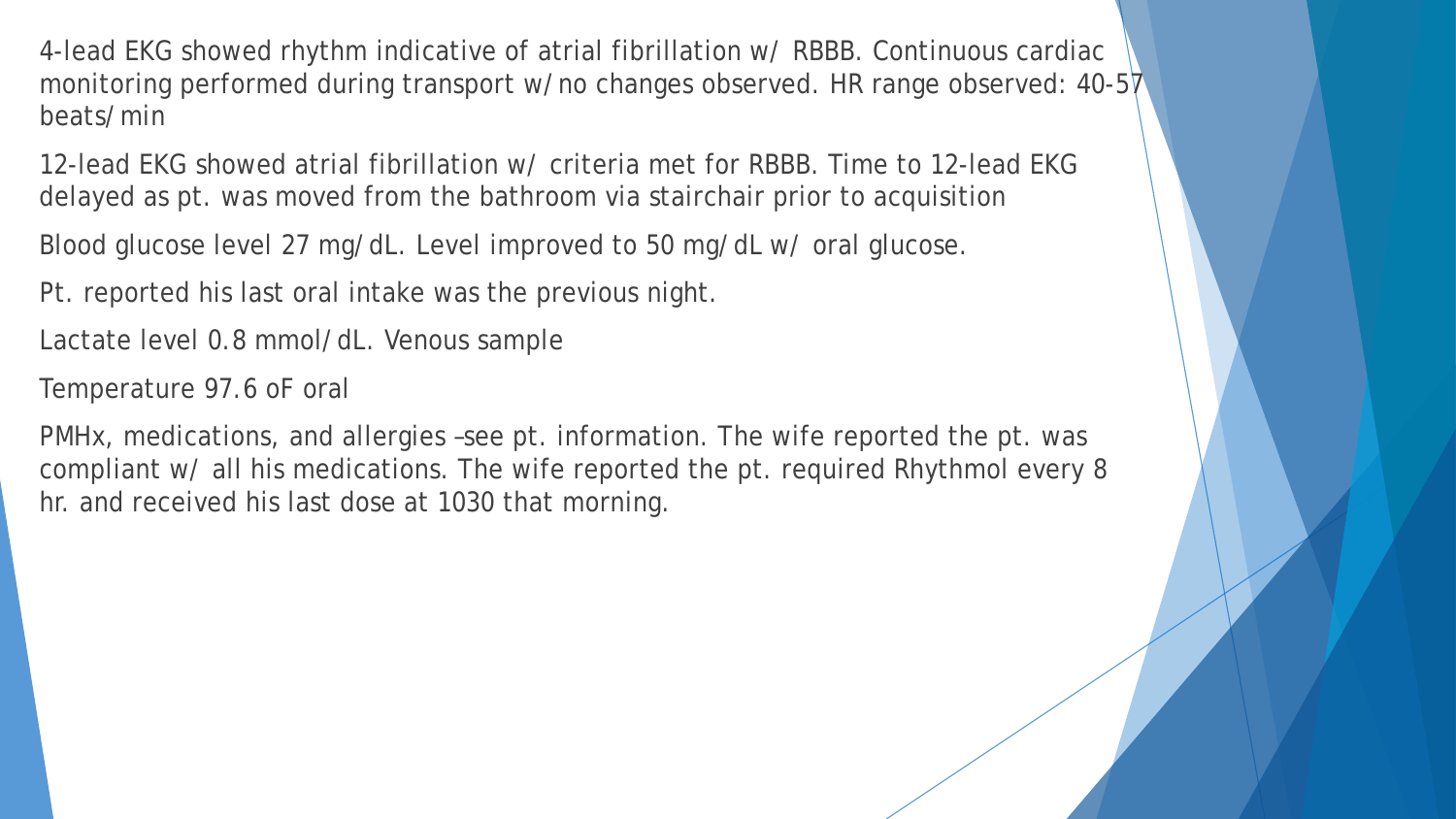4-lead EKG showed rhythm indicative of atrial fibrillation w/ RBBB. Continuous cardiac monitoring performed during transport w/no changes observed. HR range observed: 40-57 beats/min

12-lead EKG showed atrial fibrillation w/ criteria met for RBBB. Time to 12-lead EKG delayed as pt. was moved from the bathroom via stairchair prior to acquisition

Blood glucose level 27 mg/dL. Level improved to 50 mg/dL w/ oral glucose.

Pt. reported his last oral intake was the previous night.

Lactate level 0.8 mmol/dL. Venous sample

Temperature 97.6 oF oral

PMHx, medications, and allergies –see pt. information. The wife reported the pt. was compliant w/ all his medications. The wife reported the pt. required Rhythmol every 8 hr. and received his last dose at 1030 that morning.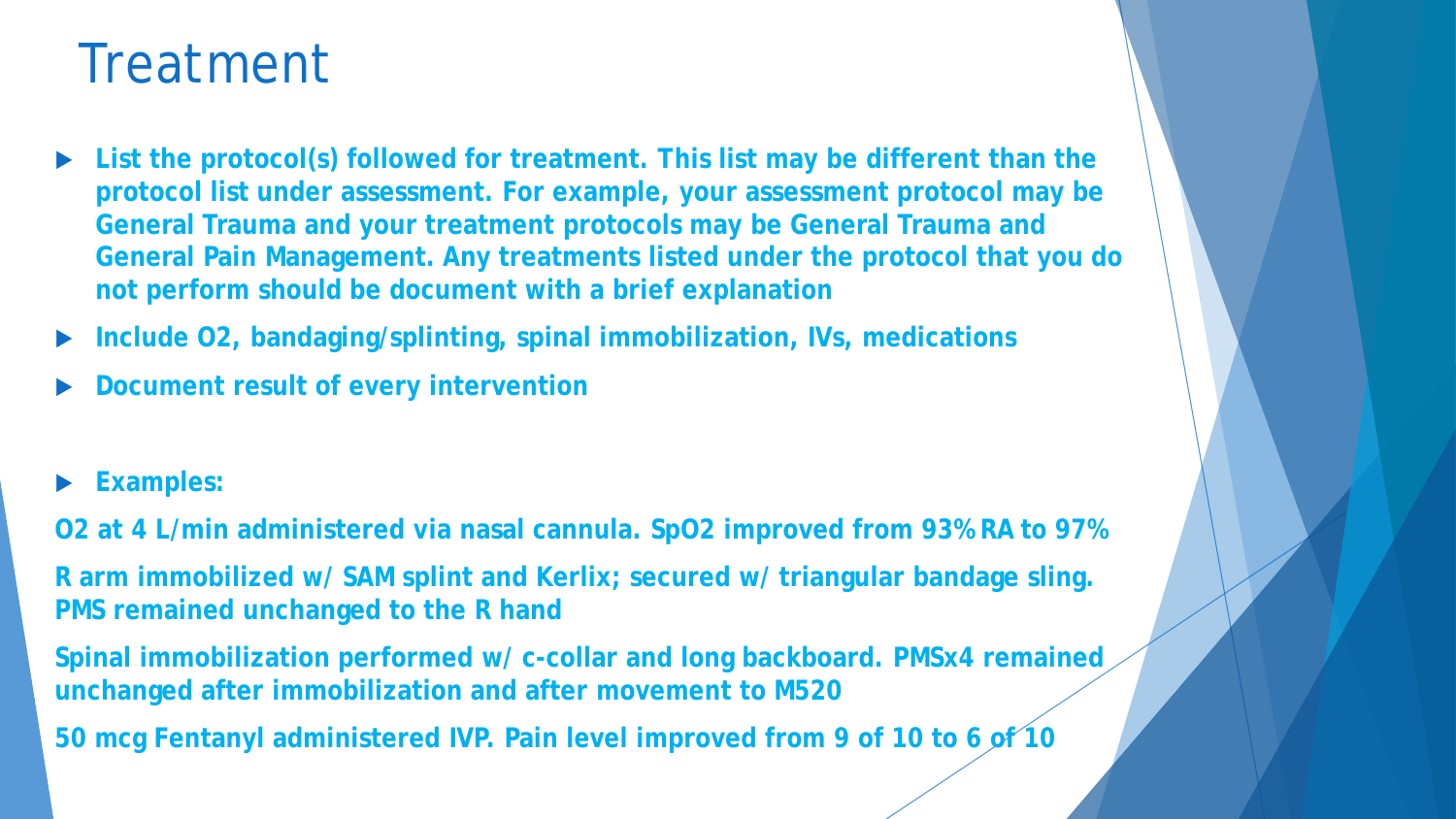#### Treatment

- **List the protocol(s) followed for treatment. This list may be different than the protocol list under assessment. For example, your assessment protocol may be General Trauma and your treatment protocols may be General Trauma and General Pain Management. Any treatments listed under the protocol that you do not perform should be document with a brief explanation**
- **Include O2, bandaging/splinting, spinal immobilization, IVs, medications**
- **Document result of every intervention**
- **Examples:**

**O2 at 4 L/min administered via nasal cannula. SpO2 improved from 93% RA to 97% R arm immobilized w/ SAM splint and Kerlix; secured w/ triangular bandage sling. PMS remained unchanged to the R hand**

**Spinal immobilization performed w/ c-collar and long backboard. PMSx4 remained unchanged after immobilization and after movement to M520** 

**50 mcg Fentanyl administered IVP. Pain level improved from 9 of 10 to 6 of 10**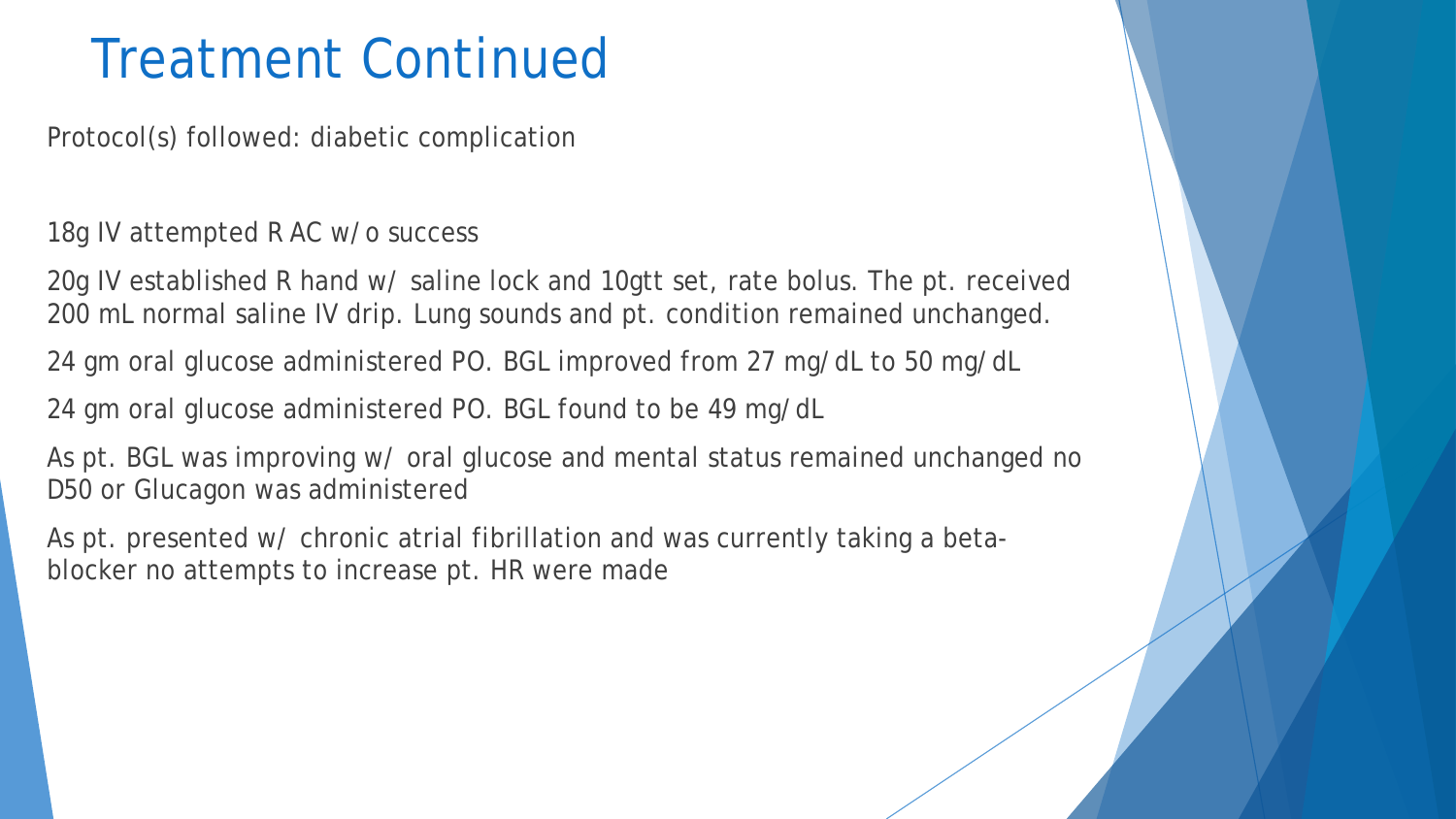## Treatment Continued

Protocol(s) followed: diabetic complication

18g IV attempted R AC w/o success

20g IV established R hand w/ saline lock and 10gtt set, rate bolus. The pt. received 200 mL normal saline IV drip. Lung sounds and pt. condition remained unchanged.

24 gm oral glucose administered PO. BGL improved from 27 mg/dL to 50 mg/dL

24 gm oral glucose administered PO. BGL found to be 49 mg/dL

As pt. BGL was improving w/ oral glucose and mental status remained unchanged no D50 or Glucagon was administered

As pt. presented w/ chronic atrial fibrillation and was currently taking a betablocker no attempts to increase pt. HR were made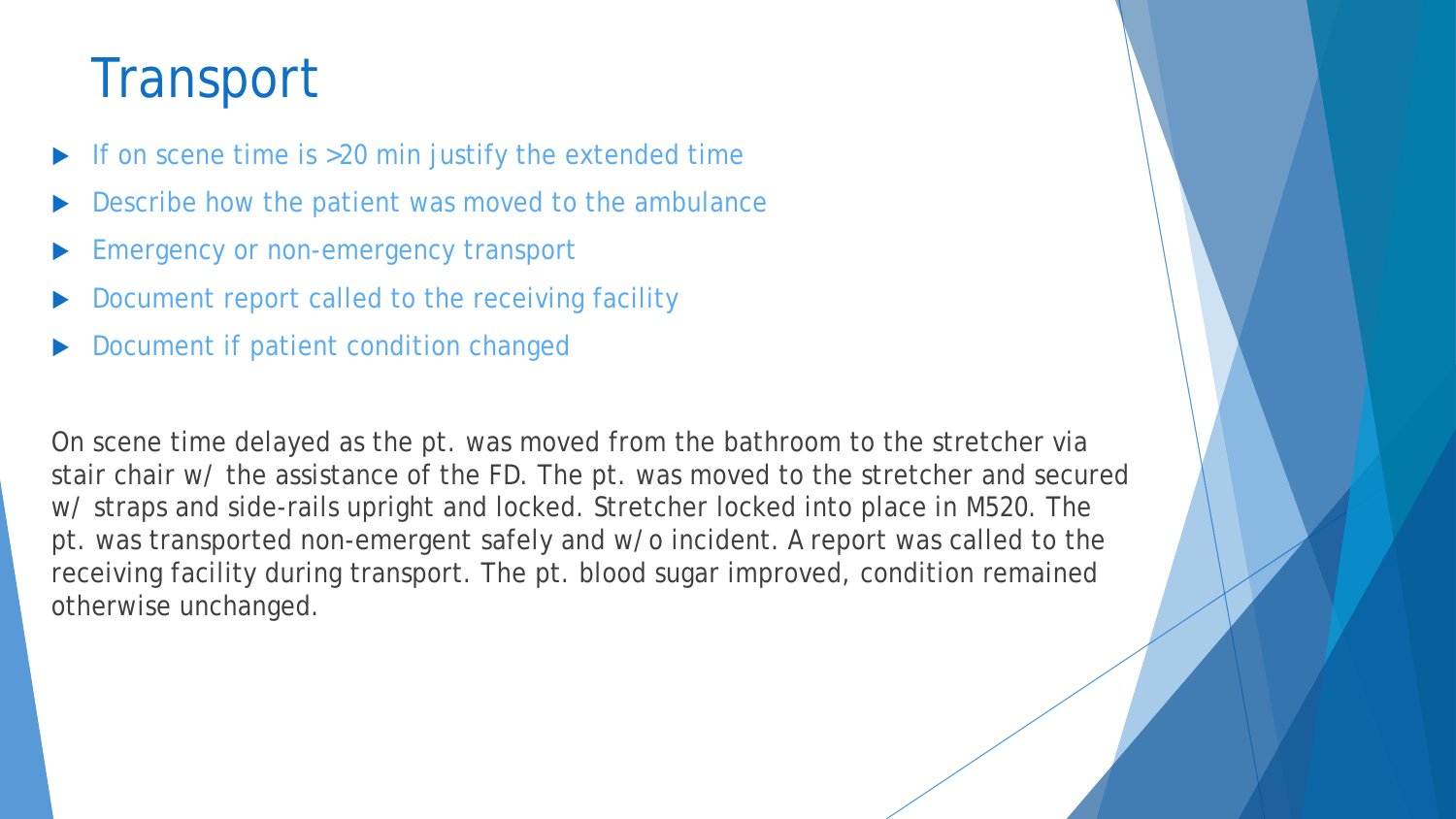## **Transport**

- If on scene time is >20 min justify the extended time
- Describe how the patient was moved to the ambulance
- Emergency or non-emergency transport
- Document report called to the receiving facility
- Document if patient condition changed

On scene time delayed as the pt. was moved from the bathroom to the stretcher via stair chair w/ the assistance of the FD. The pt. was moved to the stretcher and secured w/ straps and side-rails upright and locked. Stretcher locked into place in M520. The pt. was transported non-emergent safely and w/o incident. A report was called to the receiving facility during transport. The pt. blood sugar improved, condition remained otherwise unchanged.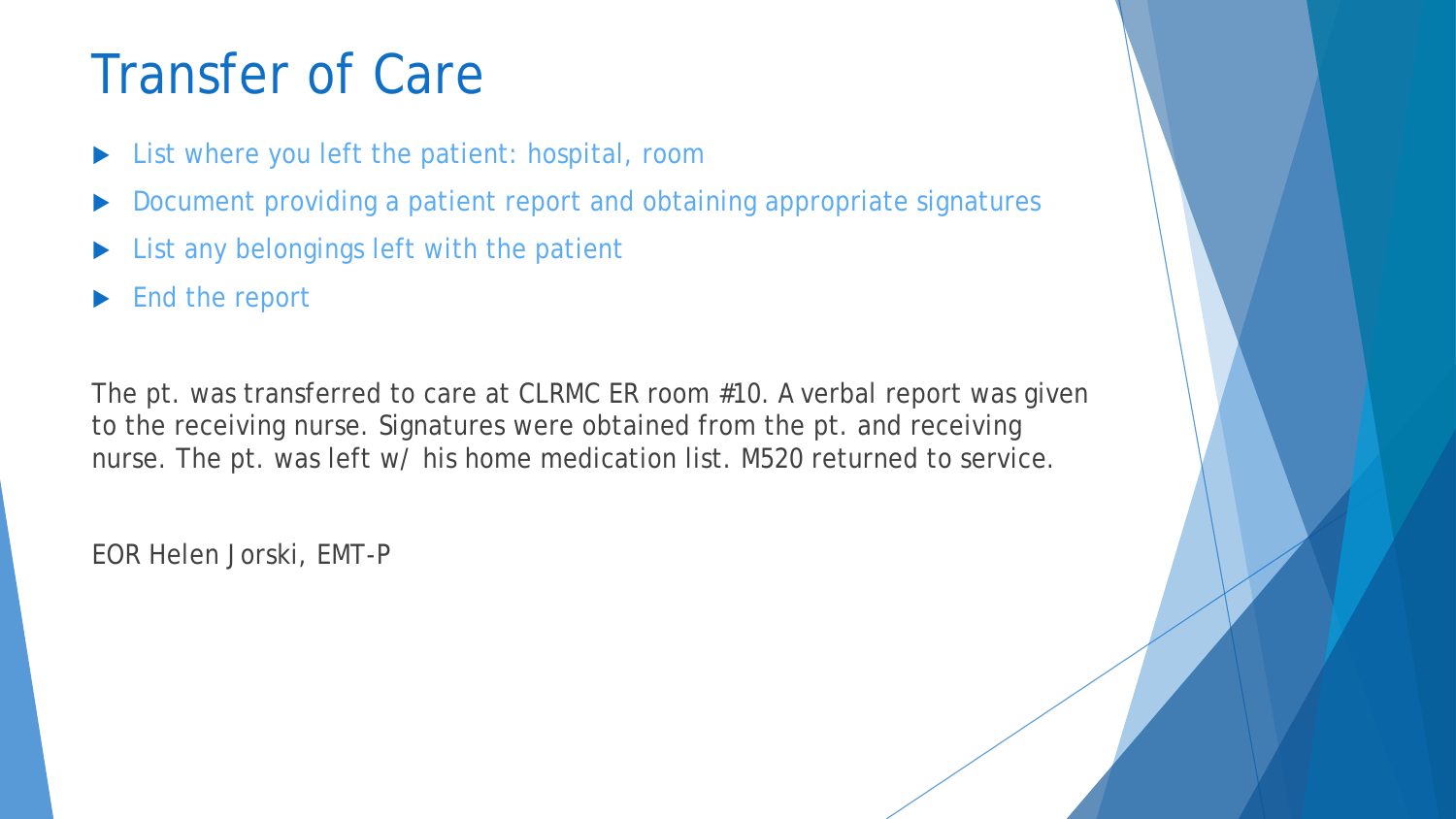## Transfer of Care

- List where you left the patient: hospital, room
- Document providing a patient report and obtaining appropriate signatures
- List any belongings left with the patient
- End the report

The pt. was transferred to care at CLRMC ER room #10. A verbal report was given to the receiving nurse. Signatures were obtained from the pt. and receiving nurse. The pt. was left w/ his home medication list. M520 returned to service.

EOR Helen Jorski, EMT-P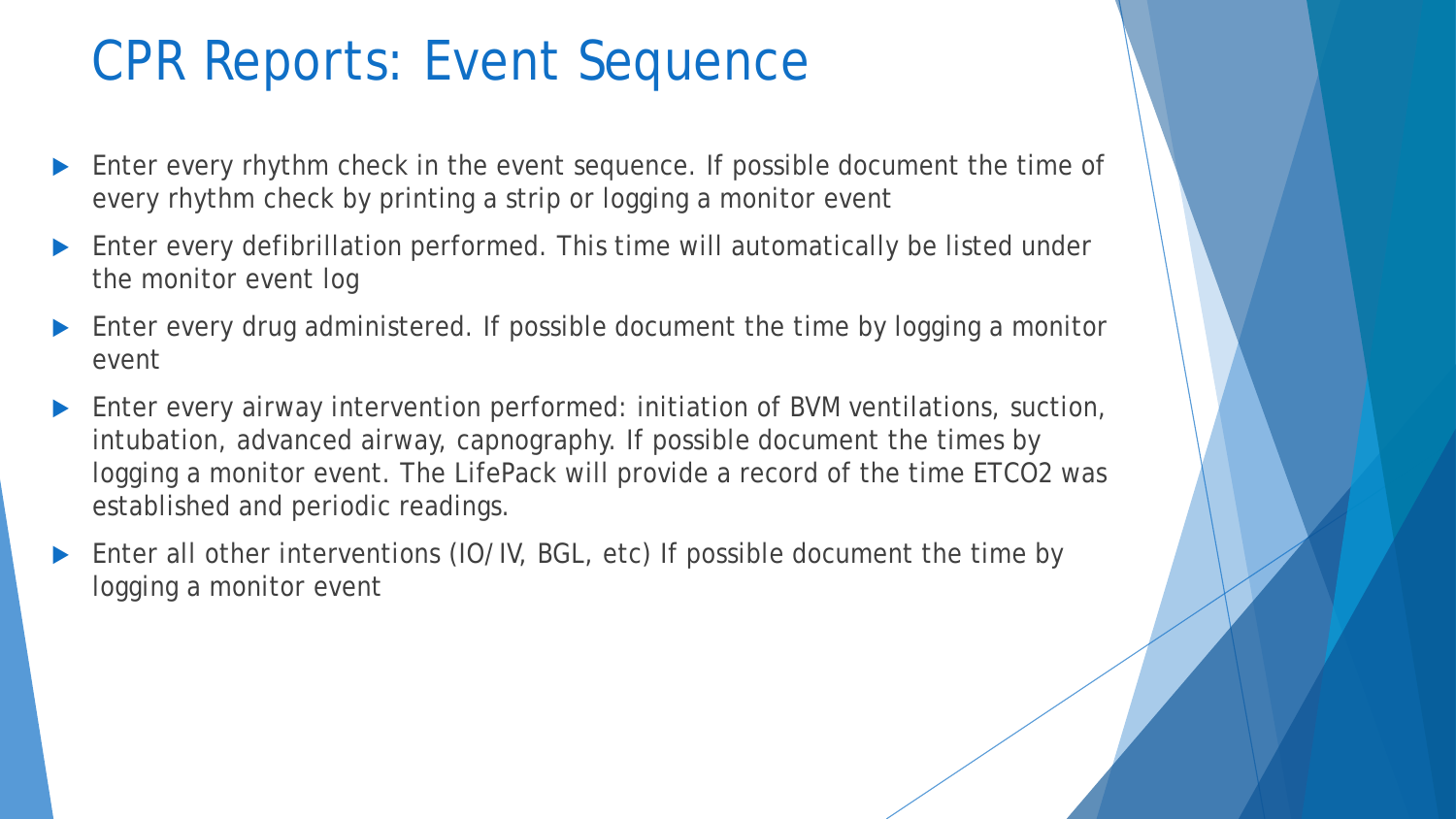## CPR Reports: Event Sequence

- **Enter every rhythm check in the event sequence. If possible document the time of** every rhythm check by printing a strip or logging a monitor event
- Enter every defibrillation performed. This time will automatically be listed under the monitor event log
- Enter every drug administered. If possible document the time by logging a monitor event
- Enter every airway intervention performed: initiation of BVM ventilations, suction, intubation, advanced airway, capnography. If possible document the times by logging a monitor event. The LifePack will provide a record of the time ETCO2 was established and periodic readings.
- Enter all other interventions (IO/IV, BGL, etc) If possible document the time by logging a monitor event